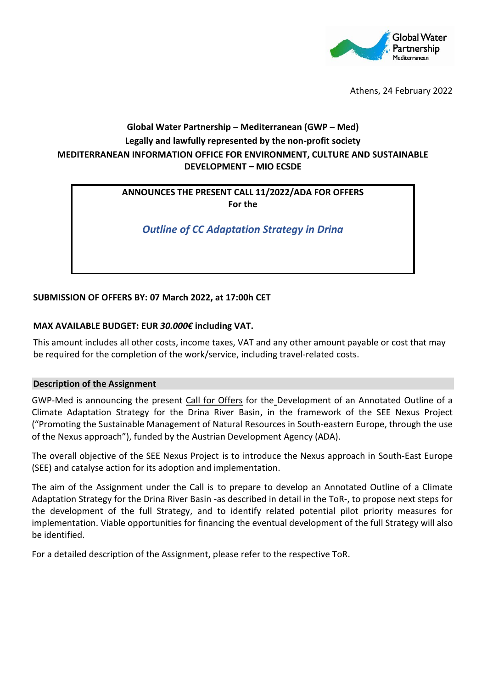

Athens, 24 February 2022

# **Global Water Partnership – Mediterranean (GWP – Med) Legally and lawfully represented by the non-profit society MEDITERRANEAN INFORMATION OFFICE FOR ENVIRONMENT, CULTURE AND SUSTAINABLE DEVELOPMENT – MIO ECSDE**

## **ANNOUNCES THE PRESENT CALL 11/2022/ADA FOR OFFERS For the**

*Outline of CC Adaptation Strategy in Drina*

# **SUBMISSION OF OFFERS BY: 07 March 2022, at 17:00h CET**

### **MAX AVAILABLE BUDGET: EUR** *30.000€* **including VAT.**

This amount includes all other costs, income taxes, VAT and any other amount payable or cost that may be required for the completion of the work/service, including travel-related costs.

### **Description of the Assignment**

GWP-Med is announcing the present Call for Offers for the Development of an Annotated Outline of a Climate Adaptation Strategy for the Drina River Basin, in the framework of the SEE Nexus Project ("Promoting the Sustainable Management of Natural Resources in South-eastern Europe, through the use of the Nexus approach"), funded by the Austrian Development Agency (ADA).

The overall objective of the SEE Nexus Project is to introduce the Nexus approach in South-East Europe (SEE) and catalyse action for its adoption and implementation.

The aim of the Assignment under the Call is to prepare to develop an Annotated Outline of a Climate Adaptation Strategy for the Drina River Basin -as described in detail in the ToR-, to propose next steps for the development of the full Strategy, and to identify related potential pilot priority measures for implementation. Viable opportunities for financing the eventual development of the full Strategy will also be identified.

For a detailed description of the Assignment, please refer to the respective ToR.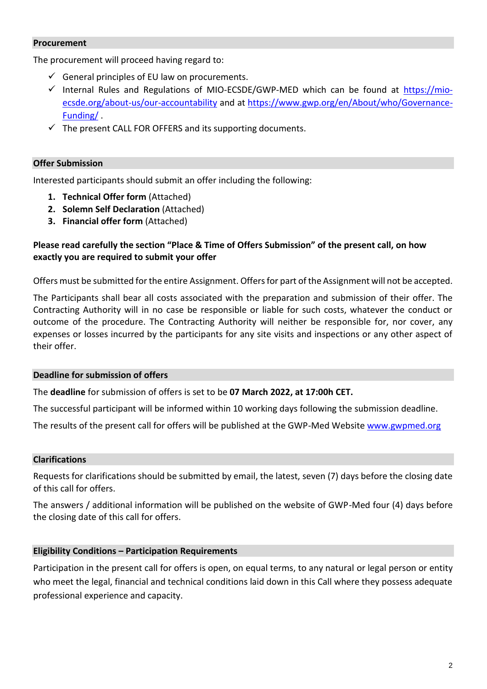#### **Procurement**

The procurement will proceed having regard to:

- $\checkmark$  General principles of EU law on procurements.
- $\checkmark$  Internal Rules and Regulations of MIO-ECSDE/GWP-MED which can be found at [https://mio](https://mio-ecsde.org/about-us/our-accountability)[ecsde.org/about-us/our-accountability](https://mio-ecsde.org/about-us/our-accountability) and at [https://www.gwp.org/en/About/who/Governance-](https://www.gwp.org/en/About/who/Governance-Funding/)[Funding/](https://www.gwp.org/en/About/who/Governance-Funding/) .
- $\checkmark$  The present CALL FOR OFFERS and its supporting documents.

### **Offer Submission**

Interested participants should submit an offer including the following:

- **1. Technical Offer form** (Attached)
- **2. Solemn Self Declaration** (Attached)
- **3. Financial offer form** (Attached)

## **Please read carefully the section "Place & Time of Offers Submission" of the present call, on how exactly you are required to submit your offer**

Offers must be submitted for the entire Assignment. Offersfor part of the Assignment will not be accepted.

The Participants shall bear all costs associated with the preparation and submission of their offer. The Contracting Authority will in no case be responsible or liable for such costs, whatever the conduct or outcome of the procedure. The Contracting Authority will neither be responsible for, nor cover, any expenses or losses incurred by the participants for any site visits and inspections or any other aspect of their offer.

### **Deadline for submission of offers**

The **deadline** for submission of offers is set to be **07 March 2022, at 17:00h CET.**

The successful participant will be informed within 10 working days following the submission deadline.

The results of the present call for offers will be published at the GWP-Med Websit[e www.gwpmed.org](http://www.gwpmed.org/)

### **Clarifications**

Requests for clarifications should be submitted by email, the latest, seven (7) days before the closing date of this call for offers.

The answers / additional information will be published on the website of GWP-Med four (4) days before the closing date of this call for offers.

### **Eligibility Conditions – Participation Requirements**

Participation in the present call for offers is open, on equal terms, to any natural or legal person or entity who meet the legal, financial and technical conditions laid down in this Call where they possess adequate professional experience and capacity.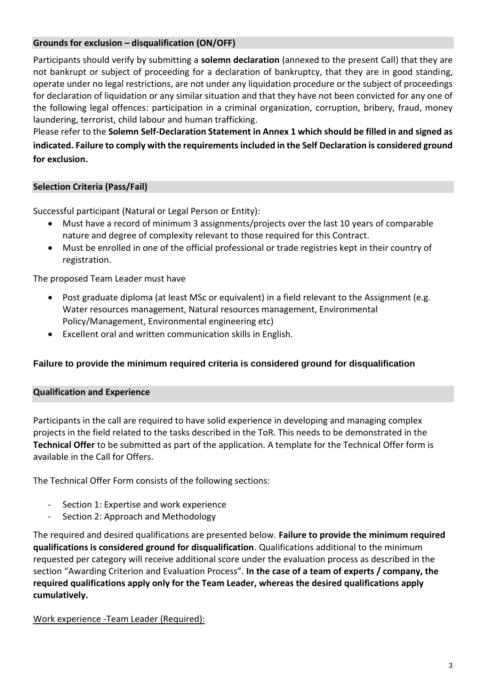# **Grounds for exclusion – disqualification (ON/OFF)**

Participants should verify by submitting a **solemn declaration** (annexed to the present Call) that they are not bankrupt or subject of proceeding for a declaration of bankruptcy, that they are in good standing, operate under no legal restrictions, are not under any liquidation procedure or the subject of proceedings for declaration of liquidation or any similar situation and that they have not been convicted for any one of the following legal offences: participation in a criminal organization, corruption, bribery, fraud, money laundering, terrorist, child labour and human trafficking.

Please refer to the **Solemn Self-Declaration Statement in Annex 1 which should be filled in and signed as indicated. Failure to comply with the requirements included in the Self Declaration is considered ground for exclusion.**

# **Selection Criteria (Pass/Fail)**

Successful participant (Natural or Legal Person or Entity):

- Must have a record of minimum 3 assignments/projects over the last 10 years of comparable nature and degree of complexity relevant to those required for this Contract.
- Must be enrolled in one of the official professional or trade registries kept in their country of registration.

The proposed Team Leader must have

- Post graduate diploma (at least MSc or equivalent) in a field relevant to the Assignment (e.g. Water resources management, Natural resources management, Environmental Policy/Management, Environmental engineering etc)
- Excellent oral and written communication skills in English.

# **Failure to provide the minimum required criteria is considered ground for disqualification**

# **Qualification and Experience**

Participants in the call are required to have solid experience in developing and managing complex projects in the field related to the tasks described in the ToR. This needs to be demonstrated in the **Technical Offer** to be submitted as part of the application. A template for the Technical Offer form is available in the Call for Offers.

The Technical Offer Form consists of the following sections:

- Section 1: Expertise and work experience
- Section 2: Approach and Methodology

The required and desired qualifications are presented below. **Failure to provide the minimum required qualifications is considered ground for disqualification**. Qualifications additional to the minimum requested per category will receive additional score under the evaluation process as described in the section "Awarding Criterion and Evaluation Process". **In the case of a team of experts / company, the required qualifications apply only for the Team Leader, whereas the desired qualifications apply cumulatively.** 

Work experience -Team Leader (Required):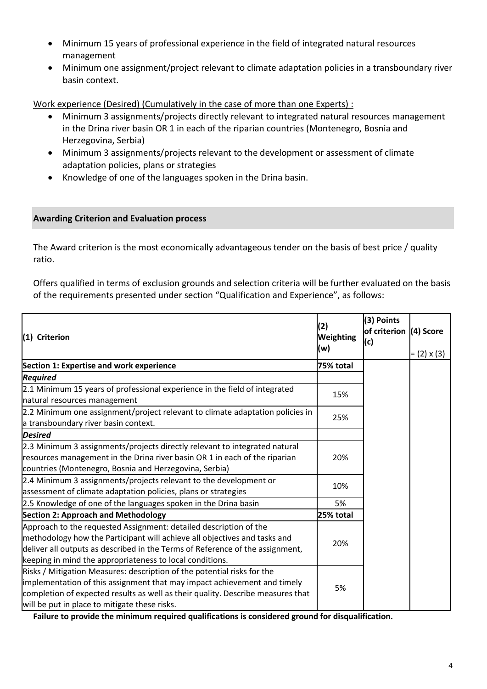- Minimum 15 years of professional experience in the field of integrated natural resources management
- Minimum one assignment/project relevant to climate adaptation policies in a transboundary river basin context.

Work experience (Desired) (Cumulatively in the case of more than one Experts) :

- Minimum 3 assignments/projects directly relevant to integrated natural resources management in the Drina river basin OR 1 in each of the riparian countries (Montenegro, Bosnia and Herzegovina, Serbia)
- Minimum 3 assignments/projects relevant to the development or assessment of climate adaptation policies, plans or strategies
- Knowledge of one of the languages spoken in the Drina basin.

# **Awarding Criterion and Evaluation process**

The Award criterion is the most economically advantageous tender on the basis of best price / quality ratio.

Offers qualified in terms of exclusion grounds and selection criteria will be further evaluated on the basis of the requirements presented under section "Qualification and Experience", as follows:

| (1) Criterion                                                                                                                                                                                                                                                                               | (2)<br><b>Weighting</b><br>(w) | (3) Points<br>of criterion (4) Score<br>(c) | $= (2) \times (3)$ |
|---------------------------------------------------------------------------------------------------------------------------------------------------------------------------------------------------------------------------------------------------------------------------------------------|--------------------------------|---------------------------------------------|--------------------|
| Section 1: Expertise and work experience                                                                                                                                                                                                                                                    | 75% total                      |                                             |                    |
| <b>Required</b>                                                                                                                                                                                                                                                                             |                                |                                             |                    |
| 2.1 Minimum 15 years of professional experience in the field of integrated<br>natural resources management                                                                                                                                                                                  | 15%                            |                                             |                    |
| 2.2 Minimum one assignment/project relevant to climate adaptation policies in<br>a transboundary river basin context.                                                                                                                                                                       | 25%                            |                                             |                    |
| <b>Desired</b>                                                                                                                                                                                                                                                                              |                                |                                             |                    |
| 2.3 Minimum 3 assignments/projects directly relevant to integrated natural<br>resources management in the Drina river basin OR 1 in each of the riparian<br>countries (Montenegro, Bosnia and Herzegovina, Serbia)                                                                          | 20%                            |                                             |                    |
| 2.4 Minimum 3 assignments/projects relevant to the development or<br>assessment of climate adaptation policies, plans or strategies                                                                                                                                                         | 10%                            |                                             |                    |
| 2.5 Knowledge of one of the languages spoken in the Drina basin                                                                                                                                                                                                                             | 5%                             |                                             |                    |
| <b>Section 2: Approach and Methodology</b>                                                                                                                                                                                                                                                  | 25% total                      |                                             |                    |
| Approach to the requested Assignment: detailed description of the<br>methodology how the Participant will achieve all objectives and tasks and<br>deliver all outputs as described in the Terms of Reference of the assignment,<br>keeping in mind the appropriateness to local conditions. | 20%                            |                                             |                    |
| Risks / Mitigation Measures: description of the potential risks for the<br>implementation of this assignment that may impact achievement and timely<br>completion of expected results as well as their quality. Describe measures that<br>will be put in place to mitigate these risks.     | 5%                             |                                             |                    |

**Failure to provide the minimum required qualifications is considered ground for disqualification.**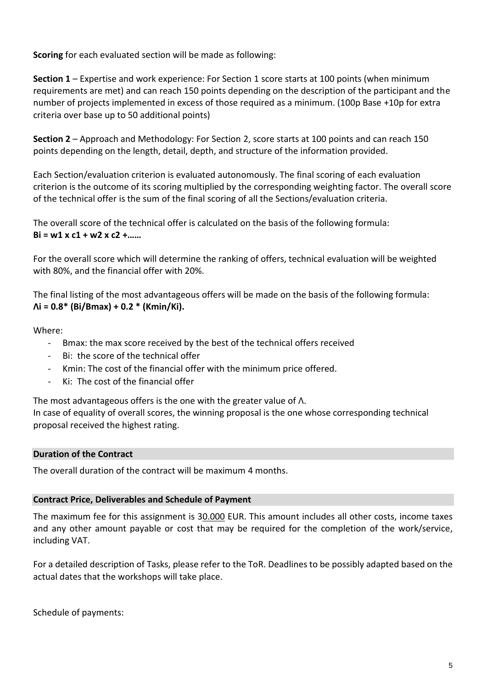**Scoring** for each evaluated section will be made as following:

**Section 1** – Expertise and work experience: For Section 1 score starts at 100 points (when minimum requirements are met) and can reach 150 points depending on the description of the participant and the number of projects implemented in excess of those required as a minimum. (100p Base +10p for extra criteria over base up to 50 additional points)

**Section 2** – Approach and Methodology: For Section 2, score starts at 100 points and can reach 150 points depending on the length, detail, depth, and structure of the information provided.

Each Section/evaluation criterion is evaluated autonomously. The final scoring of each evaluation criterion is the outcome of its scoring multiplied by the corresponding weighting factor. The overall score of the technical offer is the sum of the final scoring of all the Sections/evaluation criteria.

The overall score of the technical offer is calculated on the basis of the following formula: **Bi = w1 x c1 + w2 x c2 +……**

For the overall score which will determine the ranking of offers, technical evaluation will be weighted with 80%, and the financial offer with 20%.

The final listing of the most advantageous offers will be made on the basis of the following formula: **Λi = 0.8\* (Bi/Bmax) + 0.2 \* (Kmin/Ki).**

Where:

- Bmax: the max score received by the best of the technical offers received
- Bi: the score of the technical offer
- Kmin: The cost of the financial offer with the minimum price offered.
- Ki: The cost of the financial offer

The most advantageous offers is the one with the greater value of Λ.

In case of equality of overall scores, the winning proposal is the one whose corresponding technical proposal received the highest rating.

# **Duration of the Contract**

The overall duration of the contract will be maximum 4 months.

# **Contract Price, Deliverables and Schedule of Payment**

The maximum fee for this assignment is 30.000 EUR. This amount includes all other costs, income taxes and any other amount payable or cost that may be required for the completion of the work/service, including VAT.

For a detailed description of Tasks, please refer to the ToR. Deadlines to be possibly adapted based on the actual dates that the workshops will take place.

Schedule of payments: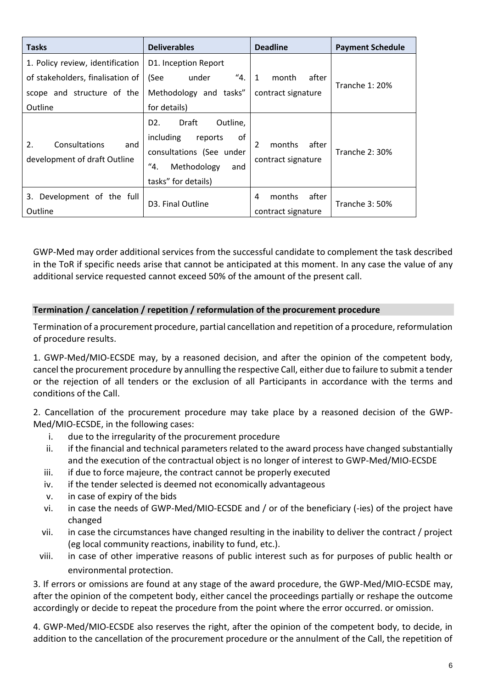| <b>Tasks</b>                                                                                       | <b>Deliverables</b>                                                                                                                                 | <b>Deadline</b>                                      | <b>Payment Schedule</b> |  |
|----------------------------------------------------------------------------------------------------|-----------------------------------------------------------------------------------------------------------------------------------------------------|------------------------------------------------------|-------------------------|--|
| 1. Policy review, identification<br>of stakeholders, finalisation of<br>scope and structure of the | D1. Inception Report<br>"4.<br>(See<br>under<br>Methodology and tasks"                                                                              | $\mathbf{1}$<br>after<br>month<br>contract signature | <b>Tranche 1: 20%</b>   |  |
| Outline                                                                                            | for details)                                                                                                                                        |                                                      |                         |  |
| Consultations<br>2.<br>and<br>development of draft Outline                                         | D <sub>2</sub> .<br>Draft<br>Outline,<br>of<br>including<br>reports<br>consultations (See under<br>"4.<br>Methodology<br>and<br>tasks" for details) | after<br>months<br>contract signature                | <b>Tranche 2: 30%</b>   |  |
| 3. Development of the full<br>Outline                                                              | D <sub>3</sub> . Final Outline                                                                                                                      | after<br>months<br>4<br>contract signature           | <b>Tranche 3: 50%</b>   |  |

GWP-Med may order additional services from the successful candidate to complement the task described in the ToR if specific needs arise that cannot be anticipated at this moment. In any case the value of any additional service requested cannot exceed 50% of the amount of the present call.

# **Termination / cancelation / repetition / reformulation of the procurement procedure**

Termination of a procurement procedure, partial cancellation and repetition of a procedure, reformulation of procedure results.

1. GWP-Med/MIO-ECSDE may, by a reasoned decision, and after the opinion of the competent body, cancel the procurement procedure by annulling the respective Call, either due to failure to submit a tender or the rejection of all tenders or the exclusion of all Participants in accordance with the terms and conditions of the Call.

2. Cancellation of the procurement procedure may take place by a reasoned decision of the GWP-Med/MIO-ECSDE, in the following cases:

- i. due to the irregularity of the procurement procedure
- ii. if the financial and technical parameters related to the award process have changed substantially and the execution of the contractual object is no longer of interest to GWP-Med/MIO-ECSDE
- iii. if due to force majeure, the contract cannot be properly executed
- iv. if the tender selected is deemed not economically advantageous
- v. in case of expiry of the bids
- vi. in case the needs of GWP-Med/MIO-ECSDE and / or of the beneficiary (-ies) of the project have changed
- vii. in case the circumstances have changed resulting in the inability to deliver the contract / project (eg local community reactions, inability to fund, etc.).
- viii. in case of other imperative reasons of public interest such as for purposes of public health or environmental protection.

3. If errors or omissions are found at any stage of the award procedure, the GWP-Med/MIO-ECSDE may, after the opinion of the competent body, either cancel the proceedings partially or reshape the outcome accordingly or decide to repeat the procedure from the point where the error occurred. or omission.

4. GWP-Med/MIO-ECSDE also reserves the right, after the opinion of the competent body, to decide, in addition to the cancellation of the procurement procedure or the annulment of the Call, the repetition of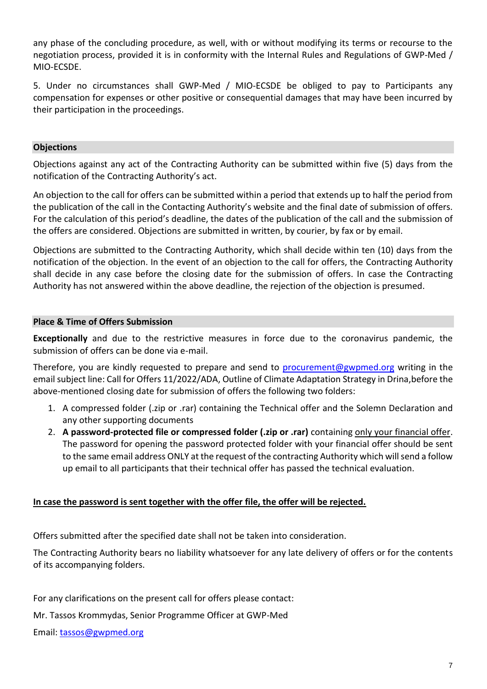any phase of the concluding procedure, as well, with or without modifying its terms or recourse to the negotiation process, provided it is in conformity with the Internal Rules and Regulations of GWP-Med / MIO-ECSDE.

5. Under no circumstances shall GWP-Med / MIO-ECSDE be obliged to pay to Participants any compensation for expenses or other positive or consequential damages that may have been incurred by their participation in the proceedings.

# **Objections**

Objections against any act of the Contracting Authority can be submitted within five (5) days from the notification of the Contracting Authority's act.

An objection to the call for offers can be submitted within a period that extends up to half the period from the publication of the call in the Contacting Authority's website and the final date of submission of offers. For the calculation of this period's deadline, the dates of the publication of the call and the submission of the offers are considered. Objections are submitted in written, by courier, by fax or by email.

Objections are submitted to the Contracting Authority, which shall decide within ten (10) days from the notification of the objection. In the event of an objection to the call for offers, the Contracting Authority shall decide in any case before the closing date for the submission of offers. In case the Contracting Authority has not answered within the above deadline, the rejection of the objection is presumed.

### **Place & Time of Offers Submission**

**Exceptionally** and due to the restrictive measures in force due to the coronavirus pandemic, the submission of offers can be done via e-mail.

Therefore, you are kindly requested to prepare and send to [procurement@gwpmed.org](mailto:procurement@gwpmed.org) writing in the email subject line: Call for Offers 11/2022/ADA, Outline of Climate Adaptation Strategy in Drina,before the above-mentioned closing date for submission of offers the following two folders:

- 1. A compressed folder (.zip or .rar) containing the Technical offer and the Solemn Declaration and any other supporting documents
- 2. **A password-protected file or compressed folder (.zip or .rar)** containing only your financial offer. The password for opening the password protected folder with your financial offer should be sent to the same email address ONLY at the request of the contracting Authority which will send a follow up email to all participants that their technical offer has passed the technical evaluation.

# **In case the password is sent together with the offer file, the offer will be rejected.**

Offers submitted after the specified date shall not be taken into consideration.

The Contracting Authority bears no liability whatsoever for any late delivery of offers or for the contents of its accompanying folders.

For any clarifications on the present call for offers please contact:

Mr. Tassos Krommydas, Senior Programme Officer at GWP-Med

Email: [tassos@gwpmed.org](mailto:tassos@gwpmed.org)